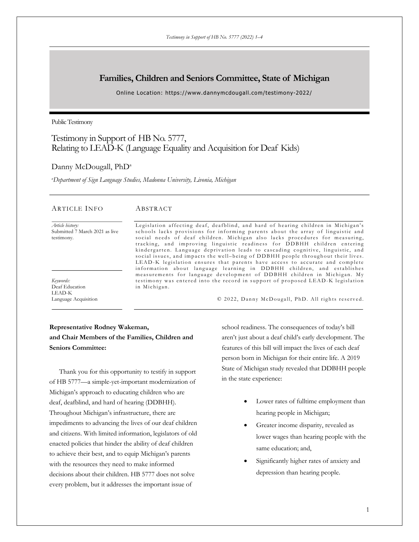# **Families, Children and Seniors Committee, State of Michigan**

Online Location: https://www.dannymcdougall.com/testimony-2022/

Public Testimony

# Testimony in Support of HB No. 5777, Relating to LEAD-K (Language Equality and Acquisition for Deaf Kids)

### Danny McDougall, PhD<sup>a</sup>

*a Department of Sign Language Studies, Madonna University, Livonia, Michigan*

#### ARTICLE INFO

#### ABSTRACT

*Article history:* Submitted 7 March 2021 as live testimony.

*Keywords:* Deaf Education LEAD-K Language Acquisition Legislation affecting deaf, deafblind, and hard of hearing children in Michigan's schools lacks provisions for informing parents about the array of linguistic and social needs of deaf children. Michigan also lacks procedures for measuring, tracking, and improving linguistic readiness for DDBHH children entering kindergarten. Language deprivation leads to cascading cognitive, linguistic, and social issues, and impacts the well-being of DDBHH people throughout their lives. LEAD-K legislation ensures that parents have access to accurate and complete information about language learning in DDBHH children, and establishes measurements for language development of DDBHH children in Michigan. My testimony was entered into the record in support of proposed LEAD-K legislation in Michigan.

© 2022 , Danny McDougall , PhD. All rights reserved.

# **Representative Rodney Wakeman, and Chair Members of the Families, Children and Seniors Committee:**

Thank you for this opportunity to testify in support of HB 5777—a simple-yet-important modernization of Michigan's approach to educating children who are deaf, deafblind, and hard of hearing (DDBHH). Throughout Michigan's infrastructure, there are impediments to advancing the lives of our deaf children and citizens. With limited information, legislators of old enacted policies that hinder the ability of deaf children to achieve their best, and to equip Michigan's parents with the resources they need to make informed decisions about their children. HB 5777 does not solve every problem, but it addresses the important issue of

school readiness. The consequences of today's bill aren't just about a deaf child's early development. The features of this bill will impact the lives of each deaf person born in Michigan for their entire life. A 2019 State of Michigan study revealed that DDBHH people in the state experience:

- Lower rates of fulltime employment than hearing people in Michigan;
- Greater income disparity, revealed as lower wages than hearing people with the same education; and,
- Significantly higher rates of anxiety and depression than hearing people.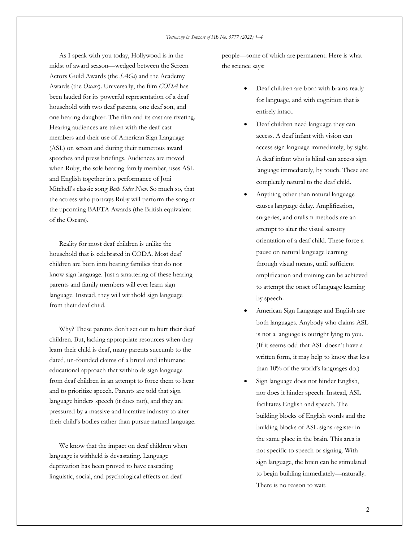As I speak with you today, Hollywood is in the midst of award season—wedged between the Screen Actors Guild Awards (the *SAGs*) and the Academy Awards (the *Oscars*). Universally, the film *CODA* has been lauded for its powerful representation of a deaf household with two deaf parents, one deaf son, and one hearing daughter. The film and its cast are riveting. Hearing audiences are taken with the deaf cast members and their use of American Sign Language (ASL) on screen and during their numerous award speeches and press briefings. Audiences are moved when Ruby, the sole hearing family member, uses ASL and English together in a performance of Joni Mitchell's classic song *Both Sides Now*. So much so, that the actress who portrays Ruby will perform the song at the upcoming BAFTA Awards (the British equivalent of the Oscars).

Reality for most deaf children is unlike the household that is celebrated in CODA. Most deaf children are born into hearing families that do not know sign language. Just a smattering of these hearing parents and family members will ever learn sign language. Instead, they will withhold sign language from their deaf child.

Why? These parents don't set out to hurt their deaf children. But, lacking appropriate resources when they learn their child is deaf, many parents succumb to the dated, un-founded claims of a brutal and inhumane educational approach that withholds sign language from deaf children in an attempt to force them to hear and to prioritize speech. Parents are told that sign language hinders speech (it does not), and they are pressured by a massive and lucrative industry to alter their child's bodies rather than pursue natural language.

We know that the impact on deaf children when language is withheld is devastating. Language deprivation has been proved to have cascading linguistic, social, and psychological effects on deaf

people—some of which are permanent. Here is what the science says:

- Deaf children are born with brains ready for language, and with cognition that is entirely intact.
- Deaf children need language they can access. A deaf infant with vision can access sign language immediately, by sight. A deaf infant who is blind can access sign language immediately, by touch. These are completely natural to the deaf child.
- Anything other than natural language causes language delay. Amplification, surgeries, and oralism methods are an attempt to alter the visual sensory orientation of a deaf child. These force a pause on natural language learning through visual means, until sufficient amplification and training can be achieved to attempt the onset of language learning by speech.
- American Sign Language and English are both languages. Anybody who claims ASL is not a language is outright lying to you. (If it seems odd that ASL doesn't have a written form, it may help to know that less than 10% of the world's languages do.)
- Sign language does not hinder English, nor does it hinder speech. Instead, ASL facilitates English and speech. The building blocks of English words and the building blocks of ASL signs register in the same place in the brain. This area is not specific to speech or signing. With sign language, the brain can be stimulated to begin building immediately—naturally. There is no reason to wait.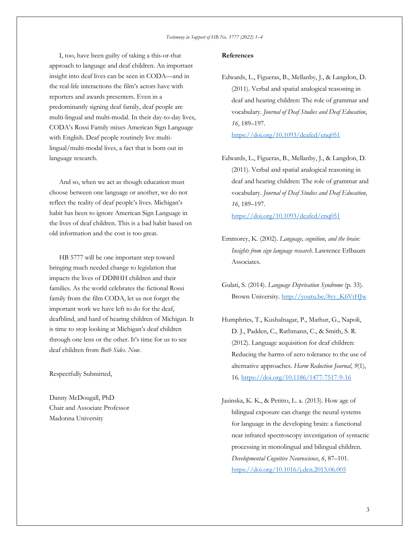I, too, have been guilty of taking a this-or-that approach to language and deaf children. An important insight into deaf lives can be seen in CODA—and in the real-life interactions the film's actors have with reporters and awards presenters. Even in a predominantly signing deaf family, deaf people are multi-lingual and multi-modal. In their day-to-day lives, CODA's Rossi Family mixes American Sign Language with English. Deaf people routinely live multilingual/multi-modal lives, a fact that is born out in language research.

And so, when we act as though education must choose between one language or another, we do not reflect the reality of deaf people's lives. Michigan's habit has been to ignore American Sign Language in the lives of deaf children. This is a bad habit based on old information and the cost is too great.

HB 5777 will be one important step toward bringing much needed change to legislation that impacts the lives of DDBHH children and their families. As the world celebrates the fictional Rossi family from the film CODA, let us not forget the important work we have left to do for the deaf, deafblind, and hard of hearing children of Michigan. It is time to stop looking at Michigan's deaf children through one lens or the other. It's time for us to see deaf children from *Both Sides*. *Now*.

Respectfully Submitted,

Danny McDougall, PhD Chair and Associate Professor Madonna University

### **References**

- Edwards, L., Figueras, B., Mellanby, J., & Langdon, D. (2011). Verbal and spatial analogical reasoning in deaf and hearing children: The role of grammar and vocabulary. *Journal of Deaf Studies and Deaf Education*, *16*, 189–197. https://doi.org/10.1093/deafed/enq051
- Edwards, L., Figueras, B., Mellanby, J., & Langdon, D. (2011). Verbal and spatial analogical reasoning in deaf and hearing children: The role of grammar and vocabulary. *Journal of Deaf Studies and Deaf Education*, *16*, 189–197. https://doi.org/10.1093/deafed/enq051
- Emmorey, K. (2002). *Language, cognition, and the brain: Insights from sign language research*. Lawrence Erlbaum Associates.
- Gulati, S. (2014). *Language Deprivation Syndrome* (p. 33). Brown University. http://youtu.be/8yy\_K6VtHJw
- Humphries, T., Kushalnagar, P., Mathur, G., Napoli, D. J., Padden, C., Rathmann, C., & Smith, S. R. (2012). Language acquisition for deaf children: Reducing the harms of zero tolerance to the use of alternative approaches. *Harm Reduction Journal*, *9*(1), 16. https://doi.org/10.1186/1477-7517-9-16
- Jasinska, K. K., & Petitto, L. a. (2013). How age of bilingual exposure can change the neural systems for language in the developing brain: a functional near infrared spectroscopy investigation of syntactic processing in monolingual and bilingual children. *Developmental Cognitive Neuroscience*, *6*, 87–101. https://doi.org/10.1016/j.dcn.2013.06.005